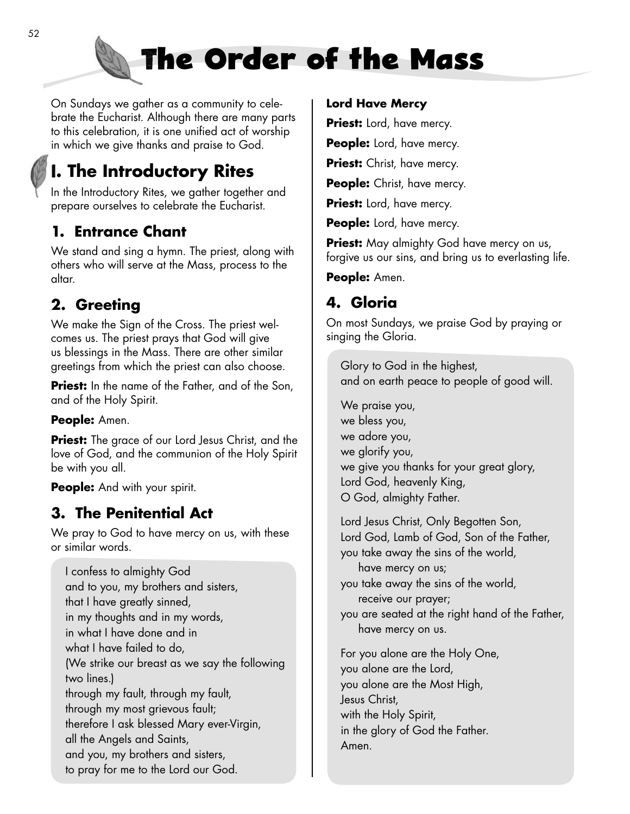

On Sundays we gather as a community to celebrate the Eucharist. Although there are many parts to this celebration, it is one unified act of worship in which we give thanks and praise to God.

# **I. The Introductory Rites**

In the Introductory Rites, we gather together and prepare ourselves to celebrate the Eucharist.

## **1. Entrance Chant**

We stand and sing a hymn. The priest, along with others who will serve at the Mass, process to the altar.

## **2. Greeting**

We make the Sign of the Cross. The priest welcomes us. The priest prays that God will give us blessings in the Mass. There are other similar greetings from which the priest can also choose.

**Priest:** In the name of the Father, and of the Son, and of the Holy Spirit.

#### **People:** Amen.

**Priest:** The grace of our Lord Jesus Christ, and the love of God, and the communion of the Holy Spirit be with you all.

**People:** And with your spirit.

## **3. The Penitential Act**

We pray to God to have mercy on us, with these or similar words.

I confess to almighty God and to you, my brothers and sisters, that I have greatly sinned, in my thoughts and in my words, in what I have done and in what I have failed to do, (We strike our breast as we say the following two lines.) through my fault, through my fault, through my most grievous fault; therefore I ask blessed Mary ever-Virgin, all the Angels and Saints, and you, my brothers and sisters, to pray for me to the Lord our God.

#### **Lord Have Mercy**

**Priest:** Lord, have mercy.

**People:** Lord, have mercy.

**Priest:** Christ, have mercy.

**People:** Christ, have mercy.

**Priest:** Lord, have mercy.

**People:** Lord, have mercy.

**Priest:** May almighty God have mercy on us, forgive us our sins, and bring us to everlasting life.

**People:** Amen.

### **4. Gloria**

On most Sundays, we praise God by praying or singing the Gloria.

Glory to God in the highest, and on earth peace to people of good will.

We praise you, we bless you, we adore you, we glorify you, we give you thanks for your great glory, Lord God, heavenly King, O God, almighty Father.

Lord Jesus Christ, Only Begotten Son, Lord God, Lamb of God, Son of the Father, you take away the sins of the world, have mercy on us; you take away the sins of the world, receive our prayer; you are seated at the right hand of the Father, have mercy on us. For you alone are the Holy One, you alone are the Lord, you alone are the Most High, Jesus Christ,

with the Holy Spirit, in the glory of God the Father.

Amen.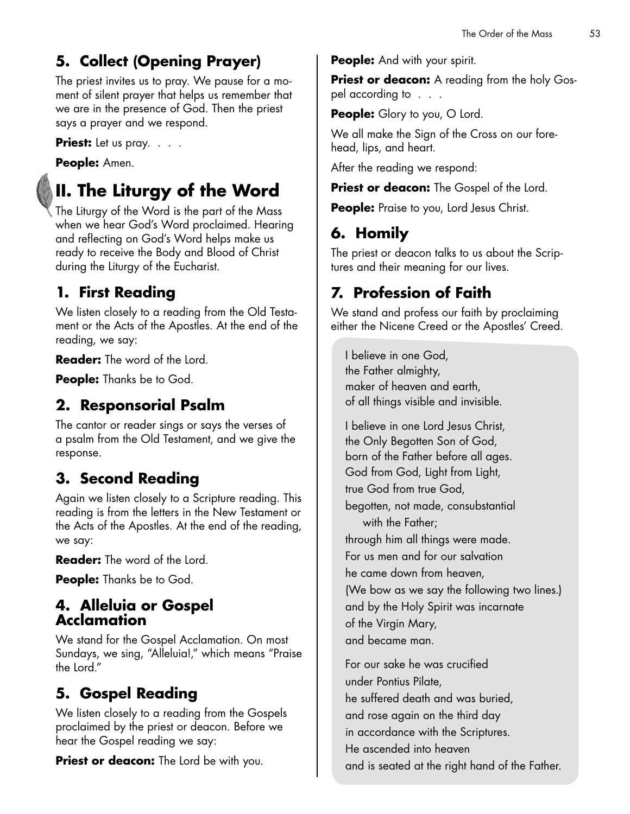# **5. Collect (Opening Prayer)**

The priest invites us to pray. We pause for a moment of silent prayer that helps us remember that we are in the presence of God. Then the priest says a prayer and we respond.

**Priest:** Let us pray. . . .

#### **People:** Amen.

# **II. The Liturgy of the Word**

The Liturgy of the Word is the part of the Mass when we hear God's Word proclaimed. Hearing and reflecting on God's Word helps make us ready to receive the Body and Blood of Christ during the Liturgy of the Eucharist.

## **1. First Reading**

We listen closely to a reading from the Old Testament or the Acts of the Apostles. At the end of the reading, we say:

**Reader:** The word of the Lord.

**People:** Thanks be to God.

## **2. Responsorial Psalm**

The cantor or reader sings or says the verses of a psalm from the Old Testament, and we give the response.

## **3. Second Reading**

Again we listen closely to a Scripture reading. This reading is from the letters in the New Testament or the Acts of the Apostles. At the end of the reading, we say:

**Reader:** The word of the Lord.

**People:** Thanks be to God.

#### **4. Alleluia or Gospel Acclamation**

We stand for the Gospel Acclamation. On most Sundays, we sing, "Alleluia!," which means "Praise the Lord."

## **5. Gospel Reading**

We listen closely to a reading from the Gospels proclaimed by the priest or deacon. Before we hear the Gospel reading we say:

**Priest or deacon:** The Lord be with you.

**People:** And with your spirit.

**Priest or deacon:** A reading from the holy Gospel according to . . .

**People:** Glory to you, O Lord.

We all make the Sign of the Cross on our forehead, lips, and heart.

After the reading we respond:

**Priest or deacon:** The Gospel of the Lord.

**People:** Praise to you, Lord Jesus Christ.

# **6. Homily**

The priest or deacon talks to us about the Scriptures and their meaning for our lives.

# **7. Profession of Faith**

We stand and profess our faith by proclaiming either the Nicene Creed or the Apostles' Creed.

I believe in one God, the Father almighty, maker of heaven and earth, of all things visible and invisible.

I believe in one Lord Jesus Christ, the Only Begotten Son of God, born of the Father before all ages. God from God, Light from Light, true God from true God, begotten, not made, consubstantial with the Father; through him all things were made. For us men and for our salvation he came down from heaven, (We bow as we say the following two lines.) and by the Holy Spirit was incarnate of the Virgin Mary, and became man.

For our sake he was crucified under Pontius Pilate, he suffered death and was buried, and rose again on the third day in accordance with the Scriptures. He ascended into heaven and is seated at the right hand of the Father.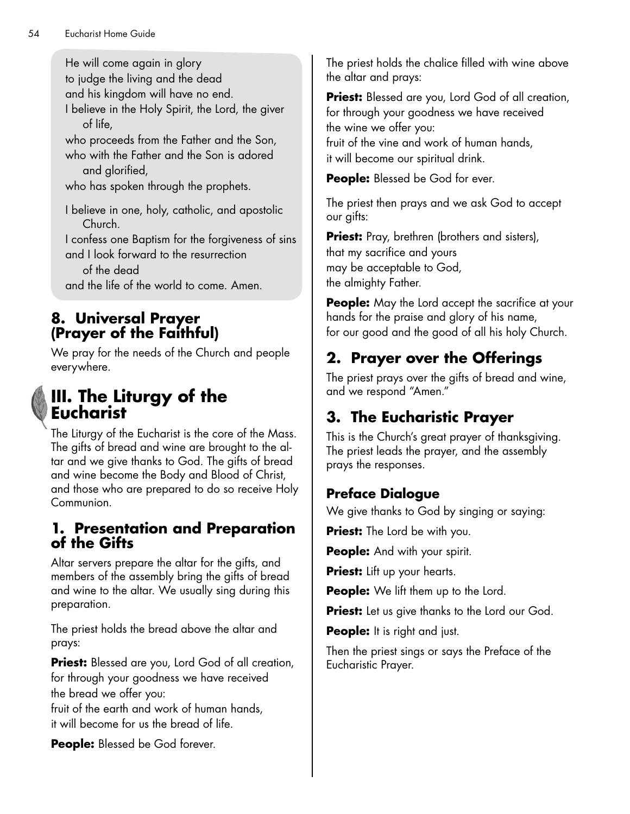He will come again in glory to judge the living and the dead and his kingdom will have no end. I believe in the Holy Spirit, the Lord, the giver of life,

who proceeds from the Father and the Son, who with the Father and the Son is adored and glorified,

who has spoken through the prophets.

I believe in one, holy, catholic, and apostolic Church.

I confess one Baptism for the forgiveness of sins and I look forward to the resurrection

of the dead

and the life of the world to come. Amen.

#### **8. Universal Prayer (Prayer of the Faithful)**

We pray for the needs of the Church and people everywhere.



# **III. The Liturgy of the Eucharist**

The Liturgy of the Eucharist is the core of the Mass. The gifts of bread and wine are brought to the altar and we give thanks to God. The gifts of bread and wine become the Body and Blood of Christ, and those who are prepared to do so receive Holy Communion.

#### **1. Presentation and Preparation of the Gifts**

Altar servers prepare the altar for the gifts, and members of the assembly bring the gifts of bread and wine to the altar. We usually sing during this preparation.

The priest holds the bread above the altar and prays:

**Priest:** Blessed are you, Lord God of all creation, for through your goodness we have received the bread we offer you:

fruit of the earth and work of human hands, it will become for us the bread of life.

**People:** Blessed be God forever.

The priest holds the chalice filled with wine above the altar and prays:

**Priest:** Blessed are you, Lord God of all creation, for through your goodness we have received the wine we offer you: fruit of the vine and work of human hands, it will become our spiritual drink.

**People:** Blessed be God for ever.

The priest then prays and we ask God to accept our gifts:

**Priest:** Pray, brethren (brothers and sisters), that my sacrifice and yours may be acceptable to God, the almighty Father.

**People:** May the Lord accept the sacrifice at your hands for the praise and glory of his name, for our good and the good of all his holy Church.

# **2. Prayer over the Offerings**

The priest prays over the gifts of bread and wine, and we respond "Amen."

# **3. The Eucharistic Prayer**

This is the Church's great prayer of thanksgiving. The priest leads the prayer, and the assembly prays the responses.

## **Preface Dialogue**

We give thanks to God by singing or saying:

**Priest:** The Lord be with you.

**People:** And with your spirit.

**Priest:** Lift up your hearts.

**People:** We lift them up to the Lord.

**Priest:** Let us give thanks to the Lord our God.

**People:** It is right and just.

Then the priest sings or says the Preface of the Eucharistic Prayer.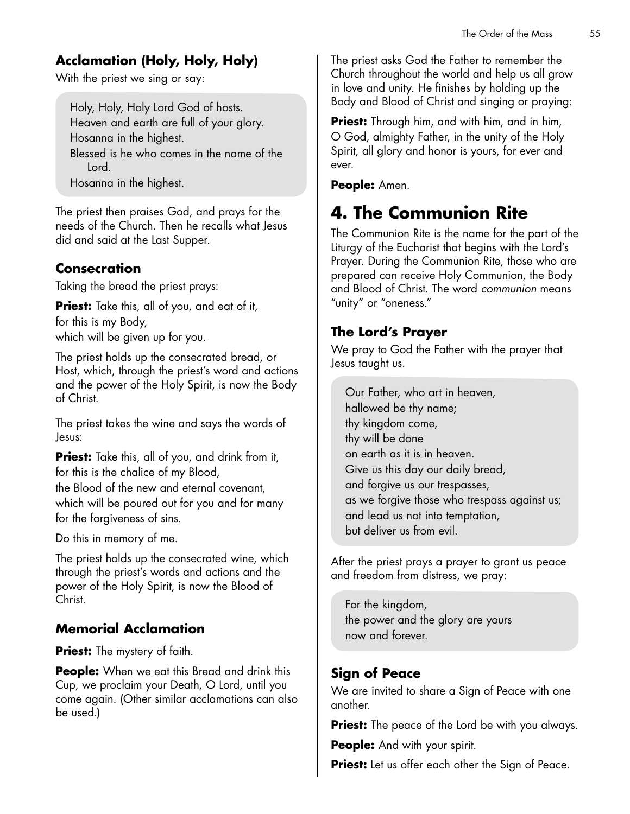### **Acclamation (Holy, Holy, Holy)**

With the priest we sing or say:

Holy, Holy, Holy Lord God of hosts. Heaven and earth are full of your glory. Hosanna in the highest. Blessed is he who comes in the name of the Lord. Hosanna in the highest.

The priest then praises God, and prays for the needs of the Church. Then he recalls what Jesus did and said at the Last Supper.

#### **Consecration**

Taking the bread the priest prays:

**Priest:** Take this, all of you, and eat of it, for this is my Body, which will be given up for you.

The priest holds up the consecrated bread, or Host, which, through the priest's word and actions and the power of the Holy Spirit, is now the Body of Christ.

The priest takes the wine and says the words of Jesus:

**Priest:** Take this, all of you, and drink from it, for this is the chalice of my Blood, the Blood of the new and eternal covenant, which will be poured out for you and for many for the forgiveness of sins.

Do this in memory of me.

The priest holds up the consecrated wine, which through the priest's words and actions and the power of the Holy Spirit, is now the Blood of Christ.

#### **Memorial Acclamation**

**Priest:** The mystery of faith.

**People:** When we eat this Bread and drink this Cup, we proclaim your Death, O Lord, until you come again. (Other similar acclamations can also be used.)

The priest asks God the Father to remember the Church throughout the world and help us all grow in love and unity. He finishes by holding up the Body and Blood of Christ and singing or praying:

**Priest:** Through him, and with him, and in him, O God, almighty Father, in the unity of the Holy Spirit, all glory and honor is yours, for ever and ever.

**People:** Amen.

# **4. The Communion Rite**

The Communion Rite is the name for the part of the Liturgy of the Eucharist that begins with the Lord's Prayer. During the Communion Rite, those who are prepared can receive Holy Communion, the Body and Blood of Christ. The word *communion* means "unity" or "oneness."

#### **The Lord's Prayer**

We pray to God the Father with the prayer that Jesus taught us.

Our Father, who art in heaven, hallowed be thy name; thy kingdom come, thy will be done on earth as it is in heaven. Give us this day our daily bread, and forgive us our trespasses, as we forgive those who trespass against us; and lead us not into temptation, but deliver us from evil.

After the priest prays a prayer to grant us peace and freedom from distress, we pray:

For the kingdom, the power and the glory are yours now and forever.

#### **Sign of Peace**

We are invited to share a Sign of Peace with one another.

**Priest:** The peace of the Lord be with you always.

**People:** And with your spirit.

**Priest:** Let us offer each other the Sign of Peace.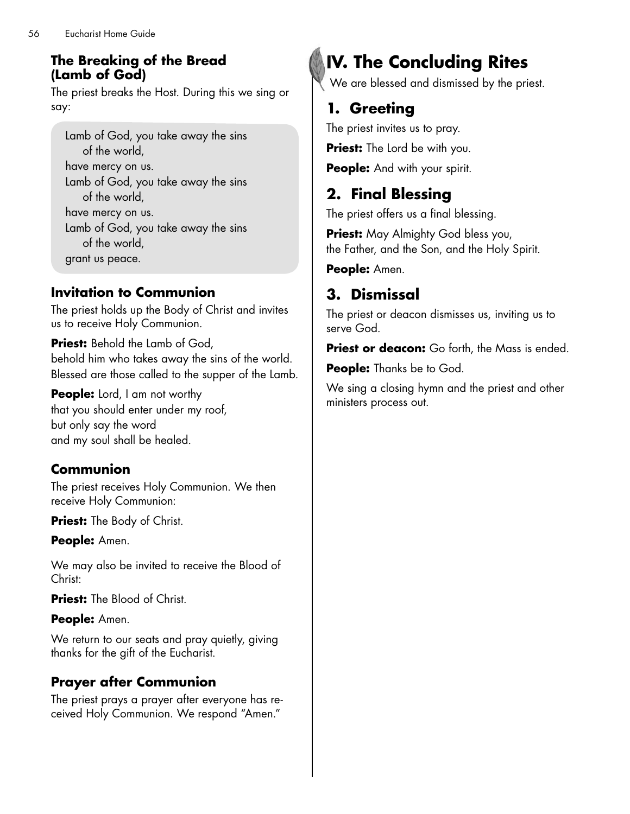#### **The Breaking of the Bread (Lamb of God)**

The priest breaks the Host. During this we sing or say:

Lamb of God, you take away the sins of the world, have mercy on us. Lamb of God, you take away the sins of the world, have mercy on us. Lamb of God, you take away the sins of the world, grant us peace.

#### **Invitation to Communion**

The priest holds up the Body of Christ and invites us to receive Holy Communion.

**Priest:** Behold the Lamb of God, behold him who takes away the sins of the world. Blessed are those called to the supper of the Lamb.

**People:** Lord, I am not worthy that you should enter under my roof, but only say the word and my soul shall be healed.

#### **Communion**

The priest receives Holy Communion. We then receive Holy Communion:

**Priest:** The Body of Christ.

**People:** Amen.

We may also be invited to receive the Blood of Christ:

**Priest:** The Blood of Christ.

#### **People:** Amen.

We return to our seats and pray quietly, giving thanks for the gift of the Eucharist.

## **Prayer after Communion**

The priest prays a prayer after everyone has received Holy Communion. We respond "Amen."

# **IV. The Concluding Rites**

We are blessed and dismissed by the priest.

# **1. Greeting**

The priest invites us to pray.

**Priest:** The Lord be with you.

**People:** And with your spirit.

# **2. Final Blessing**

The priest offers us a final blessing.

**Priest:** May Almighty God bless you, the Father, and the Son, and the Holy Spirit.

**People:** Amen.

# **3. Dismissal**

The priest or deacon dismisses us, inviting us to serve God.

**Priest or deacon:** Go forth, the Mass is ended.

**People:** Thanks be to God.

We sing a closing hymn and the priest and other ministers process out.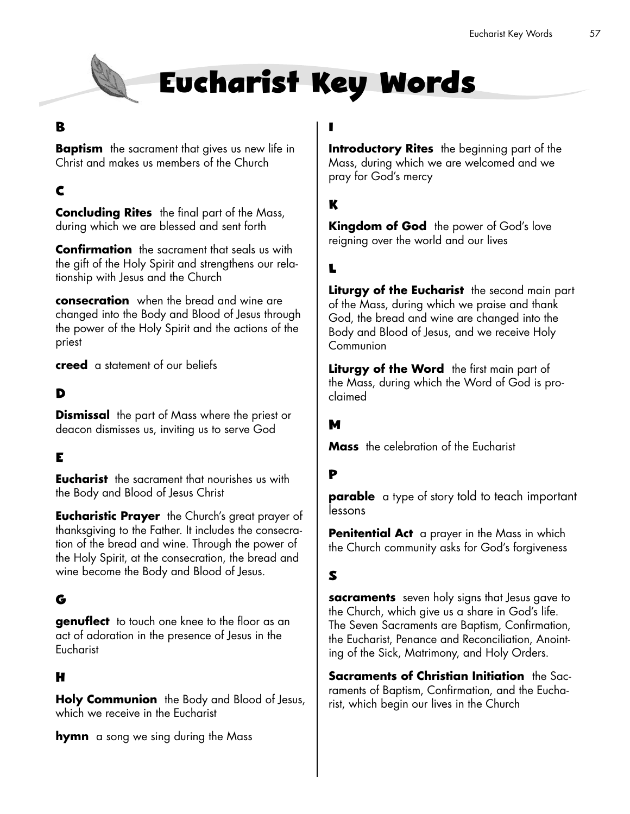

# **Eucharist Key Words**

#### **B**

**Baptism** the sacrament that gives us new life in Christ and makes us members of the Church

#### **C**

**Concluding Rites** the final part of the Mass, during which we are blessed and sent forth

**Confirmation** the sacrament that seals us with the gift of the Holy Spirit and strengthens our relationship with Jesus and the Church

**consecration** when the bread and wine are changed into the Body and Blood of Jesus through the power of the Holy Spirit and the actions of the priest

**creed** a statement of our beliefs

#### **D**

**Dismissal** the part of Mass where the priest or deacon dismisses us, inviting us to serve God

#### **E**

**Eucharist** the sacrament that nourishes us with the Body and Blood of Jesus Christ

**Eucharistic Prayer** the Church's great prayer of thanksgiving to the Father. It includes the consecration of the bread and wine. Through the power of the Holy Spirit, at the consecration, the bread and wine become the Body and Blood of Jesus.

#### **G**

**genuflect** to touch one knee to the floor as an act of adoration in the presence of Jesus in the Eucharist

#### **H**

**Holy Communion** the Body and Blood of Jesus, which we receive in the Eucharist

**hymn** a song we sing during the Mass

## **I**

**Introductory Rites** the beginning part of the Mass, during which we are welcomed and we pray for God's mercy

#### **K**

**Kingdom of God** the power of God's love reigning over the world and our lives

#### **L**

**Liturgy of the Eucharist** the second main part of the Mass, during which we praise and thank God, the bread and wine are changed into the Body and Blood of Jesus, and we receive Holy **Communion** 

Liturgy of the Word the first main part of the Mass, during which the Word of God is proclaimed

#### **M**

**Mass** the celebration of the Eucharist

#### **P**

**parable** a type of story told to teach important lessons

**Penitential Act** a prayer in the Mass in which the Church community asks for God's forgiveness

#### **S**

**sacraments** seven holy signs that Jesus gave to the Church, which give us a share in God's life. The Seven Sacraments are Baptism, Confirmation, the Eucharist, Penance and Reconciliation, Anointing of the Sick, Matrimony, and Holy Orders.

**Sacraments of Christian Initiation** the Sacraments of Baptism, Confirmation, and the Eucharist, which begin our lives in the Church